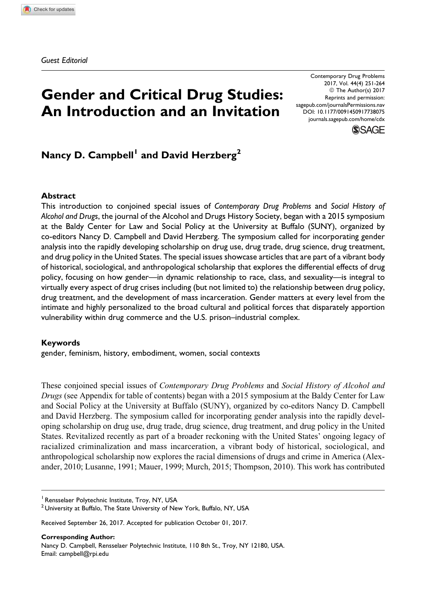Guest Editorial

# Gender and Critical Drug Studies: An Introduction and an Invitation

Contemporary Drug Problems 2017, Vol. 44(4) 251-264 © The Author(s) 2017 Reprints and permission: [sagepub.com/journalsPermissions.nav](https://us.sagepub.com/en-us/journals-permissions) [DOI: 10.1177/0091450917738075](https://doi.org/10.1177/0091450917738075) [journals.sagepub.com/home/cdx](http://journals.sagepub.com/home/cdx)



## Nancy D. Campbell $^{\mathsf{I}}$  and David Herzberg $^{\mathsf{2}}$

#### Abstract

This introduction to conjoined special issues of Contemporary Drug Problems and Social History of Alcohol and Drugs, the journal of the Alcohol and Drugs History Society, began with a 2015 symposium at the Baldy Center for Law and Social Policy at the University at Buffalo (SUNY), organized by co-editors Nancy D. Campbell and David Herzberg. The symposium called for incorporating gender analysis into the rapidly developing scholarship on drug use, drug trade, drug science, drug treatment, and drug policy in the United States. The special issues showcase articles that are part of a vibrant body of historical, sociological, and anthropological scholarship that explores the differential effects of drug policy, focusing on how gender—in dynamic relationship to race, class, and sexuality—is integral to virtually every aspect of drug crises including (but not limited to) the relationship between drug policy, drug treatment, and the development of mass incarceration. Gender matters at every level from the intimate and highly personalized to the broad cultural and political forces that disparately apportion vulnerability within drug commerce and the U.S. prison–industrial complex.

#### Keywords

gender, feminism, history, embodiment, women, social contexts

These conjoined special issues of *Contemporary Drug Problems* and *Social History of Alcohol and Drugs* (see Appendix for table of contents) began with a 2015 symposium at the Baldy Center for Law and Social Policy at the University at Buffalo (SUNY), organized by co-editors Nancy D. Campbell and David Herzberg. The symposium called for incorporating gender analysis into the rapidly developing scholarship on drug use, drug trade, drug science, drug treatment, and drug policy in the United States. Revitalized recently as part of a broader reckoning with the United States' ongoing legacy of racialized criminalization and mass incarceration, a vibrant body of historical, sociological, and anthropological scholarship now explores the racial dimensions of drugs and crime in America (Alexander, 2010; Lusanne, 1991; Mauer, 1999; Murch, 2015; Thompson, 2010). This work has contributed

Received September 26, 2017. Accepted for publication October 01, 2017.

Corresponding Author: Nancy D. Campbell, Rensselaer Polytechnic Institute, 110 8th St., Troy, NY 12180, USA. Email: campbell@rpi.edu

<sup>&</sup>lt;sup>1</sup> Rensselaer Polytechnic Institute, Troy, NY, USA

 $2$  University at Buffalo, The State University of New York, Buffalo, NY, USA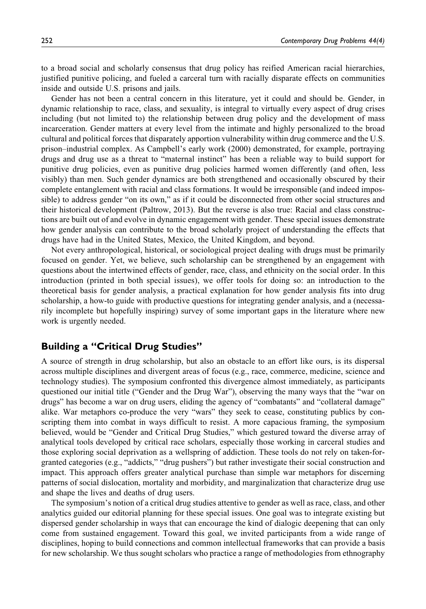to a broad social and scholarly consensus that drug policy has reified American racial hierarchies, justified punitive policing, and fueled a carceral turn with racially disparate effects on communities inside and outside U.S. prisons and jails.

Gender has not been a central concern in this literature, yet it could and should be. Gender, in dynamic relationship to race, class, and sexuality, is integral to virtually every aspect of drug crises including (but not limited to) the relationship between drug policy and the development of mass incarceration. Gender matters at every level from the intimate and highly personalized to the broad cultural and political forces that disparately apportion vulnerability within drug commerce and the U.S. prison–industrial complex. As Campbell's early work (2000) demonstrated, for example, portraying drugs and drug use as a threat to "maternal instinct" has been a reliable way to build support for punitive drug policies, even as punitive drug policies harmed women differently (and often, less visibly) than men. Such gender dynamics are both strengthened and occasionally obscured by their complete entanglement with racial and class formations. It would be irresponsible (and indeed impossible) to address gender "on its own," as if it could be disconnected from other social structures and their historical development (Paltrow, 2013). But the reverse is also true: Racial and class constructions are built out of and evolve in dynamic engagement with gender. These special issues demonstrate how gender analysis can contribute to the broad scholarly project of understanding the effects that drugs have had in the United States, Mexico, the United Kingdom, and beyond.

Not every anthropological, historical, or sociological project dealing with drugs must be primarily focused on gender. Yet, we believe, such scholarship can be strengthened by an engagement with questions about the intertwined effects of gender, race, class, and ethnicity on the social order. In this introduction (printed in both special issues), we offer tools for doing so: an introduction to the theoretical basis for gender analysis, a practical explanation for how gender analysis fits into drug scholarship, a how-to guide with productive questions for integrating gender analysis, and a (necessarily incomplete but hopefully inspiring) survey of some important gaps in the literature where new work is urgently needed.

## Building a "Critical Drug Studies"

A source of strength in drug scholarship, but also an obstacle to an effort like ours, is its dispersal across multiple disciplines and divergent areas of focus (e.g., race, commerce, medicine, science and technology studies). The symposium confronted this divergence almost immediately, as participants questioned our initial title ("Gender and the Drug War"), observing the many ways that the "war on drugs" has become a war on drug users, eliding the agency of "combatants" and "collateral damage" alike. War metaphors co-produce the very "wars" they seek to cease, constituting publics by conscripting them into combat in ways difficult to resist. A more capacious framing, the symposium believed, would be "Gender and Critical Drug Studies," which gestured toward the diverse array of analytical tools developed by critical race scholars, especially those working in carceral studies and those exploring social deprivation as a wellspring of addiction. These tools do not rely on taken-forgranted categories (e.g., "addicts," "drug pushers") but rather investigate their social construction and impact. This approach offers greater analytical purchase than simple war metaphors for discerning patterns of social dislocation, mortality and morbidity, and marginalization that characterize drug use and shape the lives and deaths of drug users.

The symposium's notion of a critical drug studies attentive to gender as well as race, class, and other analytics guided our editorial planning for these special issues. One goal was to integrate existing but dispersed gender scholarship in ways that can encourage the kind of dialogic deepening that can only come from sustained engagement. Toward this goal, we invited participants from a wide range of disciplines, hoping to build connections and common intellectual frameworks that can provide a basis for new scholarship. We thus sought scholars who practice a range of methodologies from ethnography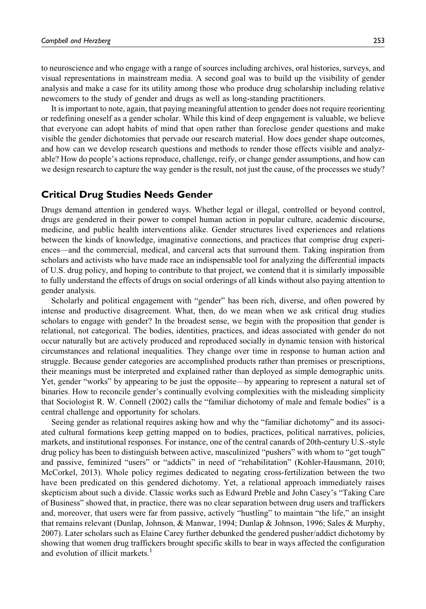to neuroscience and who engage with a range of sources including archives, oral histories, surveys, and visual representations in mainstream media. A second goal was to build up the visibility of gender analysis and make a case for its utility among those who produce drug scholarship including relative newcomers to the study of gender and drugs as well as long-standing practitioners.

It is important to note, again, that paying meaningful attention to gender does not require reorienting or redefining oneself as a gender scholar. While this kind of deep engagement is valuable, we believe that everyone can adopt habits of mind that open rather than foreclose gender questions and make visible the gender dichotomies that pervade our research material. How does gender shape outcomes, and how can we develop research questions and methods to render those effects visible and analyzable? How do people's actions reproduce, challenge, reify, or change gender assumptions, and how can we design research to capture the way gender is the result, not just the cause, of the processes we study?

## Critical Drug Studies Needs Gender

Drugs demand attention in gendered ways. Whether legal or illegal, controlled or beyond control, drugs are gendered in their power to compel human action in popular culture, academic discourse, medicine, and public health interventions alike. Gender structures lived experiences and relations between the kinds of knowledge, imaginative connections, and practices that comprise drug experiences—and the commercial, medical, and carceral acts that surround them. Taking inspiration from scholars and activists who have made race an indispensable tool for analyzing the differential impacts of U.S. drug policy, and hoping to contribute to that project, we contend that it is similarly impossible to fully understand the effects of drugs on social orderings of all kinds without also paying attention to gender analysis.

Scholarly and political engagement with "gender" has been rich, diverse, and often powered by intense and productive disagreement. What, then, do we mean when we ask critical drug studies scholars to engage with gender? In the broadest sense, we begin with the proposition that gender is relational, not categorical. The bodies, identities, practices, and ideas associated with gender do not occur naturally but are actively produced and reproduced socially in dynamic tension with historical circumstances and relational inequalities. They change over time in response to human action and struggle. Because gender categories are accomplished products rather than premises or prescriptions, their meanings must be interpreted and explained rather than deployed as simple demographic units. Yet, gender "works" by appearing to be just the opposite—by appearing to represent a natural set of binaries. How to reconcile gender's continually evolving complexities with the misleading simplicity that Sociologist R. W. Connell (2002) calls the "familiar dichotomy of male and female bodies" is a central challenge and opportunity for scholars.

Seeing gender as relational requires asking how and why the "familiar dichotomy" and its associated cultural formations keep getting mapped on to bodies, practices, political narratives, policies, markets, and institutional responses. For instance, one of the central canards of 20th-century U.S.-style drug policy has been to distinguish between active, masculinized "pushers" with whom to "get tough" and passive, feminized "users" or "addicts" in need of "rehabilitation" (Kohler-Hausmann, 2010; McCorkel, 2013). Whole policy regimes dedicated to negating cross-fertilization between the two have been predicated on this gendered dichotomy. Yet, a relational approach immediately raises skepticism about such a divide. Classic works such as Edward Preble and John Casey's "Taking Care of Business" showed that, in practice, there was no clear separation between drug users and traffickers and, moreover, that users were far from passive, actively "hustling" to maintain "the life," an insight that remains relevant (Dunlap, Johnson, & Manwar, 1994; Dunlap & Johnson, 1996; Sales & Murphy, 2007). Later scholars such as Elaine Carey further debunked the gendered pusher/addict dichotomy by showing that women drug traffickers brought specific skills to bear in ways affected the configuration and evolution of illicit markets.<sup>1</sup>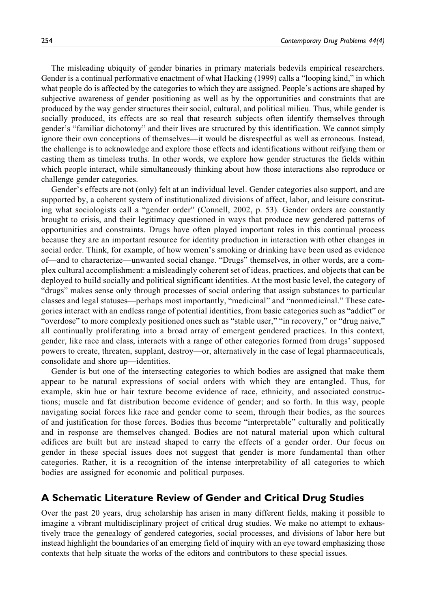The misleading ubiquity of gender binaries in primary materials bedevils empirical researchers. Gender is a continual performative enactment of what Hacking (1999) calls a "looping kind," in which what people do is affected by the categories to which they are assigned. People's actions are shaped by subjective awareness of gender positioning as well as by the opportunities and constraints that are produced by the way gender structures their social, cultural, and political milieu. Thus, while gender is socially produced, its effects are so real that research subjects often identify themselves through gender's "familiar dichotomy" and their lives are structured by this identification. We cannot simply ignore their own conceptions of themselves—it would be disrespectful as well as erroneous. Instead, the challenge is to acknowledge and explore those effects and identifications without reifying them or casting them as timeless truths. In other words, we explore how gender structures the fields within which people interact, while simultaneously thinking about how those interactions also reproduce or challenge gender categories.

Gender's effects are not (only) felt at an individual level. Gender categories also support, and are supported by, a coherent system of institutionalized divisions of affect, labor, and leisure constituting what sociologists call a "gender order" (Connell, 2002, p. 53). Gender orders are constantly brought to crisis, and their legitimacy questioned in ways that produce new gendered patterns of opportunities and constraints. Drugs have often played important roles in this continual process because they are an important resource for identity production in interaction with other changes in social order. Think, for example, of how women's smoking or drinking have been used as evidence of—and to characterize—unwanted social change. "Drugs" themselves, in other words, are a complex cultural accomplishment: a misleadingly coherent set of ideas, practices, and objects that can be deployed to build socially and political significant identities. At the most basic level, the category of "drugs" makes sense only through processes of social ordering that assign substances to particular classes and legal statuses—perhaps most importantly, "medicinal" and "nonmedicinal." These categories interact with an endless range of potential identities, from basic categories such as "addict" or "overdose" to more complexly positioned ones such as "stable user," "in recovery," or "drug naive," all continually proliferating into a broad array of emergent gendered practices. In this context, gender, like race and class, interacts with a range of other categories formed from drugs' supposed powers to create, threaten, supplant, destroy—or, alternatively in the case of legal pharmaceuticals, consolidate and shore up—identities.

Gender is but one of the intersecting categories to which bodies are assigned that make them appear to be natural expressions of social orders with which they are entangled. Thus, for example, skin hue or hair texture become evidence of race, ethnicity, and associated constructions; muscle and fat distribution become evidence of gender; and so forth. In this way, people navigating social forces like race and gender come to seem, through their bodies, as the sources of and justification for those forces. Bodies thus become "interpretable" culturally and politically and in response are themselves changed. Bodies are not natural material upon which cultural edifices are built but are instead shaped to carry the effects of a gender order. Our focus on gender in these special issues does not suggest that gender is more fundamental than other categories. Rather, it is a recognition of the intense interpretability of all categories to which bodies are assigned for economic and political purposes.

### A Schematic Literature Review of Gender and Critical Drug Studies

Over the past 20 years, drug scholarship has arisen in many different fields, making it possible to imagine a vibrant multidisciplinary project of critical drug studies. We make no attempt to exhaustively trace the genealogy of gendered categories, social processes, and divisions of labor here but instead highlight the boundaries of an emerging field of inquiry with an eye toward emphasizing those contexts that help situate the works of the editors and contributors to these special issues.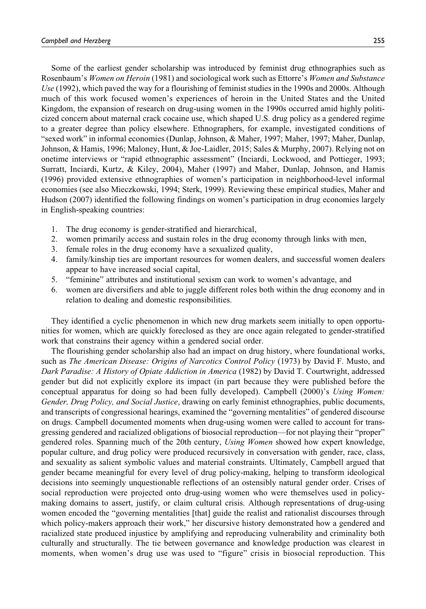Some of the earliest gender scholarship was introduced by feminist drug ethnographies such as Rosenbaum's *Women on Heroin* (1981) and sociological work such as Ettorre's *Women and Substance Use* (1992), which paved the way for a flourishing of feminist studies in the 1990s and 2000s. Although much of this work focused women's experiences of heroin in the United States and the United Kingdom, the expansion of research on drug-using women in the 1990s occurred amid highly politicized concern about maternal crack cocaine use, which shaped U.S. drug policy as a gendered regime to a greater degree than policy elsewhere. Ethnographers, for example, investigated conditions of "sexed work" in informal economies (Dunlap, Johnson, & Maher, 1997; Maher, 1997; Maher, Dunlap, Johnson, & Hamis, 1996; Maloney, Hunt, & Joe-Laidler, 2015; Sales & Murphy, 2007). Relying not on onetime interviews or "rapid ethnographic assessment" (Inciardi, Lockwood, and Pottieger, 1993; Surratt, Inciardi, Kurtz, & Kiley, 2004), Maher (1997) and Maher, Dunlap, Johnson, and Hamis (1996) provided extensive ethnographies of women's participation in neighborhood-level informal economies (see also Mieczkowski, 1994; Sterk, 1999). Reviewing these empirical studies, Maher and Hudson (2007) identified the following findings on women's participation in drug economies largely in English-speaking countries:

- 1. The drug economy is gender-stratified and hierarchical,
- 2. women primarily access and sustain roles in the drug economy through links with men,
- 3. female roles in the drug economy have a sexualized quality,
- 4. family/kinship ties are important resources for women dealers, and successful women dealers appear to have increased social capital,
- 5. "feminine" attributes and institutional sexism can work to women's advantage, and
- 6. women are diversifiers and able to juggle different roles both within the drug economy and in relation to dealing and domestic responsibilities.

They identified a cyclic phenomenon in which new drug markets seem initially to open opportunities for women, which are quickly foreclosed as they are once again relegated to gender-stratified work that constrains their agency within a gendered social order.

The flourishing gender scholarship also had an impact on drug history, where foundational works, such as *The American Disease: Origins of Narcotics Control Policy* (1973) by David F. Musto, and *Dark Paradise: A History of Opiate Addiction in America* (1982) by David T. Courtwright, addressed gender but did not explicitly explore its impact (in part because they were published before the conceptual apparatus for doing so had been fully developed). Campbell (2000)'s *Using Women: Gender, Drug Policy, and Social Justice*, drawing on early feminist ethnographies, public documents, and transcripts of congressional hearings, examined the "governing mentalities" of gendered discourse on drugs. Campbell documented moments when drug-using women were called to account for transgressing gendered and racialized obligations of biosocial reproduction—for not playing their "proper" gendered roles. Spanning much of the 20th century, *Using Women* showed how expert knowledge, popular culture, and drug policy were produced recursively in conversation with gender, race, class, and sexuality as salient symbolic values and material constraints. Ultimately, Campbell argued that gender became meaningful for every level of drug policy-making, helping to transform ideological decisions into seemingly unquestionable reflections of an ostensibly natural gender order. Crises of social reproduction were projected onto drug-using women who were themselves used in policymaking domains to assert, justify, or claim cultural crisis. Although representations of drug-using women encoded the "governing mentalities [that] guide the realist and rationalist discourses through which policy-makers approach their work," her discursive history demonstrated how a gendered and racialized state produced injustice by amplifying and reproducing vulnerability and criminality both culturally and structurally. The tie between governance and knowledge production was clearest in moments, when women's drug use was used to "figure" crisis in biosocial reproduction. This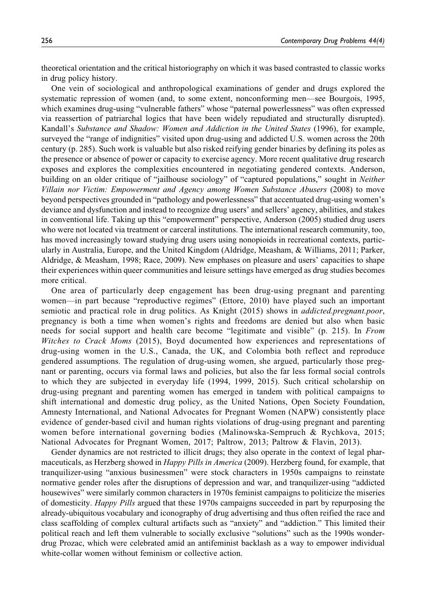theoretical orientation and the critical historiography on which it was based contrasted to classic works in drug policy history.

One vein of sociological and anthropological examinations of gender and drugs explored the systematic repression of women (and, to some extent, nonconforming men—see Bourgois, 1995, which examines drug-using "vulnerable fathers" whose "paternal powerlessness" was often expressed via reassertion of patriarchal logics that have been widely repudiated and structurally disrupted). Kandall's *Substance and Shadow: Women and Addiction in the United States* (1996), for example, surveyed the "range of indignities" visited upon drug-using and addicted U.S. women across the 20th century (p. 285). Such work is valuable but also risked reifying gender binaries by defining its poles as the presence or absence of power or capacity to exercise agency. More recent qualitative drug research exposes and explores the complexities encountered in negotiating gendered contexts. Anderson, building on an older critique of "jailhouse sociology" of "captured populations," sought in *Neither Villain nor Victim: Empowerment and Agency among Women Substance Abusers* (2008) to move beyond perspectives grounded in "pathology and powerlessness" that accentuated drug-using women's deviance and dysfunction and instead to recognize drug users' and sellers' agency, abilities, and stakes in conventional life. Taking up this "empowerment" perspective, Anderson (2005) studied drug users who were not located via treatment or carceral institutions. The international research community, too, has moved increasingly toward studying drug users using nonopioids in recreational contexts, particularly in Australia, Europe, and the United Kingdom (Aldridge, Measham, & Williams, 2011; Parker, Aldridge, & Measham, 1998; Race, 2009). New emphases on pleasure and users' capacities to shape their experiences within queer communities and leisure settings have emerged as drug studies becomes more critical.

One area of particularly deep engagement has been drug-using pregnant and parenting women—in part because "reproductive regimes" (Ettore, 2010) have played such an important semiotic and practical role in drug politics. As Knight (2015) shows in *addicted.pregnant.poor*, pregnancy is both a time when women's rights and freedoms are denied but also when basic needs for social support and health care become "legitimate and visible" (p. 215). In *From Witches to Crack Moms* (2015), Boyd documented how experiences and representations of drug-using women in the U.S., Canada, the UK, and Colombia both reflect and reproduce gendered assumptions. The regulation of drug-using women, she argued, particularly those pregnant or parenting, occurs via formal laws and policies, but also the far less formal social controls to which they are subjected in everyday life (1994, 1999, 2015). Such critical scholarship on drug-using pregnant and parenting women has emerged in tandem with political campaigns to shift international and domestic drug policy, as the United Nations, Open Society Foundation, Amnesty International, and National Advocates for Pregnant Women (NAPW) consistently place evidence of gender-based civil and human rights violations of drug-using pregnant and parenting women before international governing bodies (Malinowska-Sempruch & Rychkova, 2015; National Advocates for Pregnant Women, 2017; Paltrow, 2013; Paltrow & Flavin, 2013).

Gender dynamics are not restricted to illicit drugs; they also operate in the context of legal pharmaceuticals, as Herzberg showed in *Happy Pills in America* (2009). Herzberg found, for example, that tranquilizer-using "anxious businessmen" were stock characters in 1950s campaigns to reinstate normative gender roles after the disruptions of depression and war, and tranquilizer-using "addicted housewives" were similarly common characters in 1970s feminist campaigns to politicize the miseries of domesticity. *Happy Pills* argued that these 1970s campaigns succeeded in part by repurposing the already-ubiquitous vocabulary and iconography of drug advertising and thus often reified the race and class scaffolding of complex cultural artifacts such as "anxiety" and "addiction." This limited their political reach and left them vulnerable to socially exclusive "solutions" such as the 1990s wonderdrug Prozac, which were celebrated amid an antifeminist backlash as a way to empower individual white-collar women without feminism or collective action.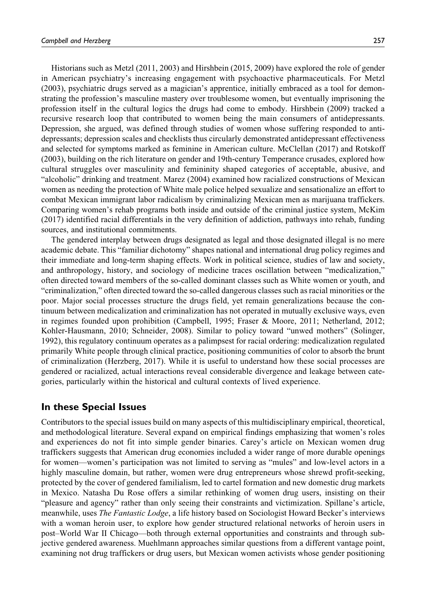Historians such as Metzl (2011, 2003) and Hirshbein (2015, 2009) have explored the role of gender in American psychiatry's increasing engagement with psychoactive pharmaceuticals. For Metzl (2003), psychiatric drugs served as a magician's apprentice, initially embraced as a tool for demonstrating the profession's masculine mastery over troublesome women, but eventually imprisoning the profession itself in the cultural logics the drugs had come to embody. Hirshbein (2009) tracked a recursive research loop that contributed to women being the main consumers of antidepressants. Depression, she argued, was defined through studies of women whose suffering responded to antidepressants; depression scales and checklists thus circularly demonstrated antidepressant effectiveness and selected for symptoms marked as feminine in American culture. McClellan (2017) and Rotskoff (2003), building on the rich literature on gender and 19th-century Temperance crusades, explored how cultural struggles over masculinity and femininity shaped categories of acceptable, abusive, and "alcoholic" drinking and treatment. Marez (2004) examined how racialized constructions of Mexican women as needing the protection of White male police helped sexualize and sensationalize an effort to combat Mexican immigrant labor radicalism by criminalizing Mexican men as marijuana traffickers. Comparing women's rehab programs both inside and outside of the criminal justice system, McKim (2017) identified racial differentials in the very definition of addiction, pathways into rehab, funding sources, and institutional commitments.

The gendered interplay between drugs designated as legal and those designated illegal is no mere academic debate. This "familiar dichotomy" shapes national and international drug policy regimes and their immediate and long-term shaping effects. Work in political science, studies of law and society, and anthropology, history, and sociology of medicine traces oscillation between "medicalization," often directed toward members of the so-called dominant classes such as White women or youth, and "criminalization," often directed toward the so-called dangerous classes such as racial minorities or the poor. Major social processes structure the drugs field, yet remain generalizations because the continuum between medicalization and criminalization has not operated in mutually exclusive ways, even in regimes founded upon prohibition (Campbell, 1995; Fraser & Moore, 2011; Netherland, 2012; Kohler-Hausmann, 2010; Schneider, 2008). Similar to policy toward "unwed mothers" (Solinger, 1992), this regulatory continuum operates as a palimpsest for racial ordering: medicalization regulated primarily White people through clinical practice, positioning communities of color to absorb the brunt of criminalization (Herzberg, 2017). While it is useful to understand how these social processes are gendered or racialized, actual interactions reveal considerable divergence and leakage between categories, particularly within the historical and cultural contexts of lived experience.

## In these Special Issues

Contributors to the special issues build on many aspects of this multidisciplinary empirical, theoretical, and methodological literature. Several expand on empirical findings emphasizing that women's roles and experiences do not fit into simple gender binaries. Carey's article on Mexican women drug traffickers suggests that American drug economies included a wider range of more durable openings for women—women's participation was not limited to serving as "mules" and low-level actors in a highly masculine domain, but rather, women were drug entrepreneurs whose shrewd profit-seeking, protected by the cover of gendered familialism, led to cartel formation and new domestic drug markets in Mexico. Natasha Du Rose offers a similar rethinking of women drug users, insisting on their "pleasure and agency" rather than only seeing their constraints and victimization. Spillane's article, meanwhile, uses *The Fantastic Lodge*, a life history based on Sociologist Howard Becker's interviews with a woman heroin user, to explore how gender structured relational networks of heroin users in post–World War II Chicago—both through external opportunities and constraints and through subjective gendered awareness. Muehlmann approaches similar questions from a different vantage point, examining not drug traffickers or drug users, but Mexican women activists whose gender positioning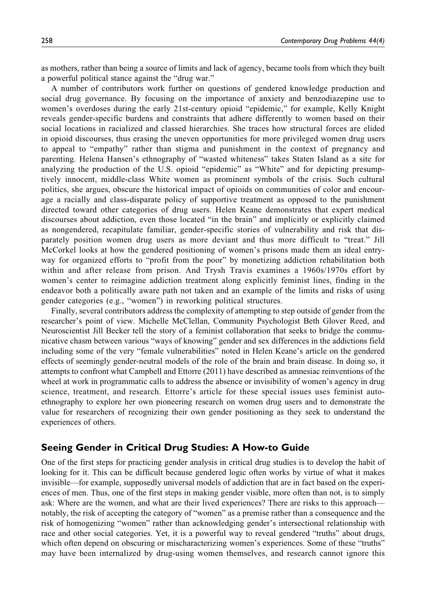as mothers, rather than being a source of limits and lack of agency, became tools from which they built a powerful political stance against the "drug war."

A number of contributors work further on questions of gendered knowledge production and social drug governance. By focusing on the importance of anxiety and benzodiazepine use to women's overdoses during the early 21st-century opioid "epidemic," for example, Kelly Knight reveals gender-specific burdens and constraints that adhere differently to women based on their social locations in racialized and classed hierarchies. She traces how structural forces are elided in opioid discourses, thus erasing the uneven opportunities for more privileged women drug users to appeal to "empathy" rather than stigma and punishment in the context of pregnancy and parenting. Helena Hansen's ethnography of "wasted whiteness" takes Staten Island as a site for analyzing the production of the U.S. opioid "epidemic" as "White" and for depicting presumptively innocent, middle-class White women as prominent symbols of the crisis. Such cultural politics, she argues, obscure the historical impact of opioids on communities of color and encourage a racially and class-disparate policy of supportive treatment as opposed to the punishment directed toward other categories of drug users. Helen Keane demonstrates that expert medical discourses about addiction, even those located "in the brain" and implicitly or explicitly claimed as nongendered, recapitulate familiar, gender-specific stories of vulnerability and risk that disparately position women drug users as more deviant and thus more difficult to "treat." Jill McCorkel looks at how the gendered positioning of women's prisons made them an ideal entryway for organized efforts to "profit from the poor" by monetizing addiction rehabilitation both within and after release from prison. And Trysh Travis examines a 1960s/1970s effort by women's center to reimagine addiction treatment along explicitly feminist lines, finding in the endeavor both a politically aware path not taken and an example of the limits and risks of using gender categories (e.g., "women") in reworking political structures.

Finally, several contributors address the complexity of attempting to step outside of gender from the researcher's point of view. Michelle McClellan, Community Psychologist Beth Glover Reed, and Neuroscientist Jill Becker tell the story of a feminist collaboration that seeks to bridge the communicative chasm between various "ways of knowing" gender and sex differences in the addictions field including some of the very "female vulnerabilities" noted in Helen Keane's article on the gendered effects of seemingly gender-neutral models of the role of the brain and brain disease. In doing so, it attempts to confront what Campbell and Ettorre (2011) have described as amnesiac reinventions of the wheel at work in programmatic calls to address the absence or invisibility of women's agency in drug science, treatment, and research. Ettorre's article for these special issues uses feminist autoethnography to explore her own pioneering research on women drug users and to demonstrate the value for researchers of recognizing their own gender positioning as they seek to understand the experiences of others.

## Seeing Gender in Critical Drug Studies: A How-to Guide

One of the first steps for practicing gender analysis in critical drug studies is to develop the habit of looking for it. This can be difficult because gendered logic often works by virtue of what it makes invisible—for example, supposedly universal models of addiction that are in fact based on the experiences of men. Thus, one of the first steps in making gender visible, more often than not, is to simply ask: Where are the women, and what are their lived experiences? There are risks to this approach notably, the risk of accepting the category of "women" as a premise rather than a consequence and the risk of homogenizing "women" rather than acknowledging gender's intersectional relationship with race and other social categories. Yet, it is a powerful way to reveal gendered "truths" about drugs, which often depend on obscuring or mischaracterizing women's experiences. Some of these "truths" may have been internalized by drug-using women themselves, and research cannot ignore this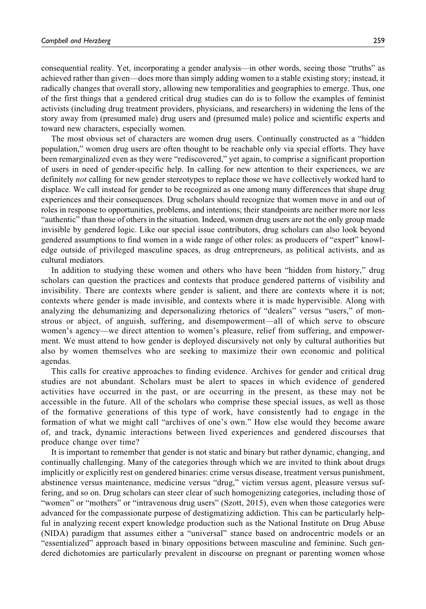consequential reality. Yet, incorporating a gender analysis—in other words, seeing those "truths" as achieved rather than given—does more than simply adding women to a stable existing story; instead, it radically changes that overall story, allowing new temporalities and geographies to emerge. Thus, one of the first things that a gendered critical drug studies can do is to follow the examples of feminist activists (including drug treatment providers, physicians, and researchers) in widening the lens of the story away from (presumed male) drug users and (presumed male) police and scientific experts and toward new characters, especially women.

The most obvious set of characters are women drug users. Continually constructed as a "hidden population," women drug users are often thought to be reachable only via special efforts. They have been remarginalized even as they were "rediscovered," yet again, to comprise a significant proportion of users in need of gender-specific help. In calling for new attention to their experiences, we are definitely *not* calling for new gender stereotypes to replace those we have collectively worked hard to displace. We call instead for gender to be recognized as one among many differences that shape drug experiences and their consequences. Drug scholars should recognize that women move in and out of roles in response to opportunities, problems, and intentions; their standpoints are neither more nor less "authentic" than those of others in the situation. Indeed, women drug users are not the only group made invisible by gendered logic. Like our special issue contributors, drug scholars can also look beyond gendered assumptions to find women in a wide range of other roles: as producers of "expert" knowledge outside of privileged masculine spaces, as drug entrepreneurs, as political activists, and as cultural mediators.

In addition to studying these women and others who have been "hidden from history," drug scholars can question the practices and contexts that produce gendered patterns of visibility and invisibility. There are contexts where gender is salient, and there are contexts where it is not; contexts where gender is made invisible, and contexts where it is made hypervisible. Along with analyzing the dehumanizing and depersonalizing rhetorics of "dealers" versus "users," of monstrous or abject, of anguish, suffering, and disempowerment—all of which serve to obscure women's agency—we direct attention to women's pleasure, relief from suffering, and empowerment. We must attend to how gender is deployed discursively not only by cultural authorities but also by women themselves who are seeking to maximize their own economic and political agendas.

This calls for creative approaches to finding evidence. Archives for gender and critical drug studies are not abundant. Scholars must be alert to spaces in which evidence of gendered activities have occurred in the past, or are occurring in the present, as these may not be accessible in the future. All of the scholars who comprise these special issues, as well as those of the formative generations of this type of work, have consistently had to engage in the formation of what we might call "archives of one's own." How else would they become aware of, and track, dynamic interactions between lived experiences and gendered discourses that produce change over time?

It is important to remember that gender is not static and binary but rather dynamic, changing, and continually challenging. Many of the categories through which we are invited to think about drugs implicitly or explicitly rest on gendered binaries: crime versus disease, treatment versus punishment, abstinence versus maintenance, medicine versus "drug," victim versus agent, pleasure versus suffering, and so on. Drug scholars can steer clear of such homogenizing categories, including those of "women" or "mothers" or "intravenous drug users" (Szott, 2015), even when those categories were advanced for the compassionate purpose of destigmatizing addiction. This can be particularly helpful in analyzing recent expert knowledge production such as the National Institute on Drug Abuse (NIDA) paradigm that assumes either a "universal" stance based on androcentric models or an "essentialized" approach based in binary oppositions between masculine and feminine. Such gendered dichotomies are particularly prevalent in discourse on pregnant or parenting women whose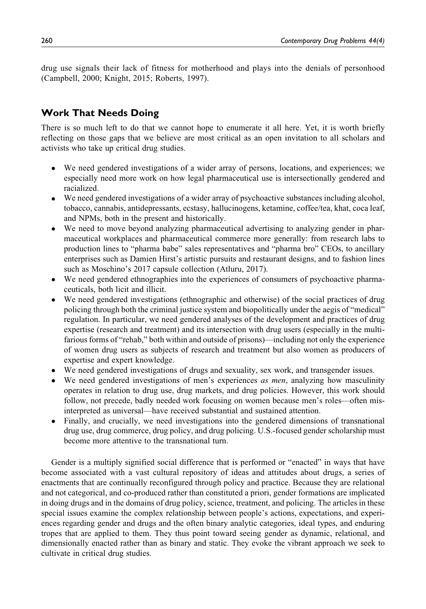drug use signals their lack of fitness for motherhood and plays into the denials of personhood (Campbell, 2000; Knight, 2015; Roberts, 1997).

## Work That Needs Doing

There is so much left to do that we cannot hope to enumerate it all here. Yet, it is worth briefly reflecting on those gaps that we believe are most critical as an open invitation to all scholars and activists who take up critical drug studies.

- We need gendered investigations of a wider array of persons, locations, and experiences; we especially need more work on how legal pharmaceutical use is intersectionally gendered and racialized.
- We need gendered investigations of a wider array of psychoactive substances including alcohol, tobacco, cannabis, antidepressants, ecstasy, hallucinogens, ketamine, coffee/tea, khat, coca leaf, and NPMs, both in the present and historically.
- We need to move beyond analyzing pharmaceutical advertising to analyzing gender in pharmaceutical workplaces and pharmaceutical commerce more generally: from research labs to production lines to "pharma babe" sales representatives and "pharma bro" CEOs, to ancillary enterprises such as Damien Hirst's artistic pursuits and restaurant designs, and to fashion lines such as Moschino's 2017 capsule collection (Atluru, 2017).
- We need gendered ethnographies into the experiences of consumers of psychoactive pharmaceuticals, both licit and illicit.
- We need gendered investigations (ethnographic and otherwise) of the social practices of drug policing through both the criminal justice system and biopolitically under the aegis of "medical" regulation. In particular, we need gendered analyses of the development and practices of drug expertise (research and treatment) and its intersection with drug users (especially in the multifarious forms of "rehab," both within and outside of prisons)—including not only the experience of women drug users as subjects of research and treatment but also women as producers of expertise and expert knowledge.
- We need gendered investigations of drugs and sexuality, sex work, and transgender issues.
- We need gendered investigations of men's experiences *as men*, analyzing how masculinity operates in relation to drug use, drug markets, and drug policies. However, this work should follow, not precede, badly needed work focusing on women because men's roles—often misinterpreted as universal—have received substantial and sustained attention.
- Finally, and crucially, we need investigations into the gendered dimensions of transnational drug use, drug commerce, drug policy, and drug policing. U.S.-focused gender scholarship must become more attentive to the transnational turn.

Gender is a multiply signified social difference that is performed or "enacted" in ways that have become associated with a vast cultural repository of ideas and attitudes about drugs, a series of enactments that are continually reconfigured through policy and practice. Because they are relational and not categorical, and co-produced rather than constituted a priori, gender formations are implicated in doing drugs and in the domains of drug policy, science, treatment, and policing. The articles in these special issues examine the complex relationship between people's actions, expectations, and experiences regarding gender and drugs and the often binary analytic categories, ideal types, and enduring tropes that are applied to them. They thus point toward seeing gender as dynamic, relational, and dimensionally enacted rather than as binary and static. They evoke the vibrant approach we seek to cultivate in critical drug studies.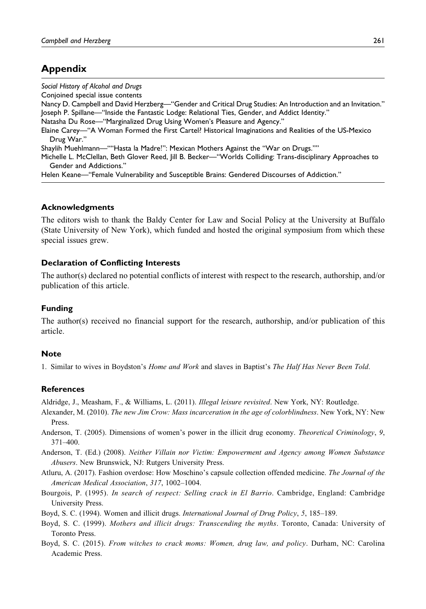## Appendix

Social History of Alcohol and Drugs Conjoined special issue contents Nancy D. Campbell and David Herzberg—"Gender and Critical Drug Studies: An Introduction and an Invitation." Joseph P. Spillane—"Inside the Fantastic Lodge: Relational Ties, Gender, and Addict Identity." Natasha Du Rose—"Marginalized Drug Using Women's Pleasure and Agency." Elaine Carey—"A Woman Formed the First Cartel? Historical Imaginations and Realities of the US-Mexico Drug War." Shaylih Muehlmann—""Hasta la Madre!": Mexican Mothers Against the "War on Drugs."" Michelle L. McClellan, Beth Glover Reed, Jill B. Becker—"Worlds Colliding: Trans-disciplinary Approaches to Gender and Addictions." Helen Keane—"Female Vulnerability and Susceptible Brains: Gendered Discourses of Addiction."

#### Acknowledgments

The editors wish to thank the Baldy Center for Law and Social Policy at the University at Buffalo (State University of New York), which funded and hosted the original symposium from which these special issues grew.

#### Declaration of Conflicting Interests

The author(s) declared no potential conflicts of interest with respect to the research, authorship, and/or publication of this article.

#### Funding

The author(s) received no financial support for the research, authorship, and/or publication of this article.

#### **Note**

1. Similar to wives in Boydston's *Home and Work* and slaves in Baptist's *The Half Has Never Been Told*.

#### References

Aldridge, J., Measham, F., & Williams, L. (2011). *Illegal leisure revisited*. New York, NY: Routledge.

- Alexander, M. (2010). *The new Jim Crow: Mass incarceration in the age of colorblindness*. New York, NY: New Press.
- Anderson, T. (2005). Dimensions of women's power in the illicit drug economy. *Theoretical Criminology*, *9*, 371–400.

Anderson, T. (Ed.) (2008). *Neither Villain nor Victim: Empowerment and Agency among Women Substance Abusers*. New Brunswick, NJ: Rutgers University Press.

- Atluru, A. (2017). Fashion overdose: How Moschino's capsule collection offended medicine. *The Journal of the American Medical Association*, *317*, 1002–1004.
- Bourgois, P. (1995). *In search of respect: Selling crack in El Barrio*. Cambridge, England: Cambridge University Press.

Boyd, S. C. (1994). Women and illicit drugs. *International Journal of Drug Policy*, *5*, 185–189.

- Boyd, S. C. (1999). *Mothers and illicit drugs: Transcending the myths*. Toronto, Canada: University of Toronto Press.
- Boyd, S. C. (2015). *From witches to crack moms: Women, drug law, and policy*. Durham, NC: Carolina Academic Press.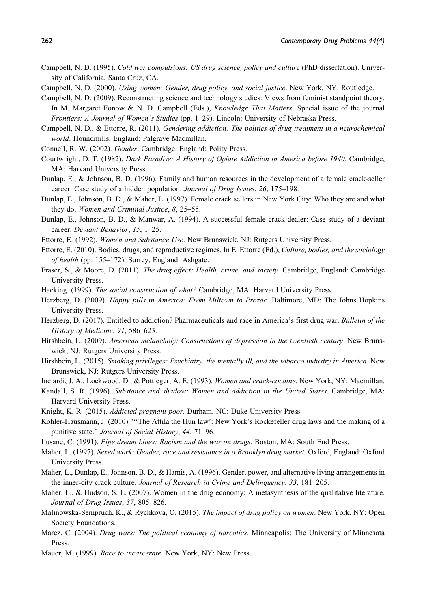- Campbell, N. D. (1995). *Cold war compulsions: US drug science, policy and culture* (PhD dissertation). University of California, Santa Cruz, CA.
- Campbell, N. D. (2000). *Using women: Gender, drug policy, and social justice*. New York, NY: Routledge.
- Campbell, N. D. (2009). Reconstructing science and technology studies: Views from feminist standpoint theory. In M. Margaret Fonow & N. D. Campbell (Eds.), *Knowledge That Matters*. Special issue of the journal *Frontiers: A Journal of Women's Studies* (pp. 1–29). Lincoln: University of Nebraska Press.
- Campbell, N. D., & Ettorre, R. (2011). *Gendering addiction: The politics of drug treatment in a neurochemical world*. Houndmills, England: Palgrave Macmillan.
- Connell, R. W. (2002). *Gender*. Cambridge, England: Polity Press.
- Courtwright, D. T. (1982). *Dark Paradise: A History of Opiate Addiction in America before 1940*. Cambridge, MA: Harvard University Press.
- Dunlap, E., & Johnson, B. D. (1996). Family and human resources in the development of a female crack-seller career: Case study of a hidden population. *Journal of Drug Issues*, *26*, 175–198.
- Dunlap, E., Johnson, B. D., & Maher, L. (1997). Female crack sellers in New York City: Who they are and what they do, *Women and Criminal Justice*, *8*, 25–55.
- Dunlap, E., Johnson, B. D., & Manwar, A. (1994). A successful female crack dealer: Case study of a deviant career. *Deviant Behavior*, *15*, 1–25.
- Ettorre, E. (1992). *Women and Substance Use*. New Brunswick, NJ: Rutgers University Press.
- Ettorre, E. (2010). Bodies, drugs, and reproductive regimes. In E. Ettorre (Ed.), *Culture, bodies, and the sociology of health* (pp. 155–172). Surrey, England: Ashgate.
- Fraser, S., & Moore, D. (2011). *The drug effect: Health, crime, and society*. Cambridge, England: Cambridge University Press.
- Hacking. (1999). *The social construction of what?* Cambridge, MA: Harvard University Press.
- Herzberg, D. (2009). *Happy pills in America: From Miltown to Prozac*. Baltimore, MD: The Johns Hopkins University Press.
- Herzberg, D. (2017). Entitled to addiction? Pharmaceuticals and race in America's first drug war. *Bulletin of the History of Medicine*, *91*, 586–623.
- Hirshbein, L. (2009). *American melancholy: Constructions of depression in the twentieth century*. New Brunswick, NJ: Rutgers University Press.
- Hirshbein, L. (2015). *Smoking privileges: Psychiatry, the mentally ill, and the tobacco industry in America*. New Brunswick, NJ: Rutgers University Press.
- Inciardi, J. A., Lockwood, D., & Pottieger, A. E. (1993). *Women and crack-cocaine*. New York, NY: Macmillan.
- Kandall, S. R. (1996). *Substance and shadow: Women and addiction in the United States*. Cambridge, MA: Harvard University Press.
- Knight, K. R. (2015). *Addicted pregnant poor*. Durham, NC: Duke University Press.
- Kohler-Hausmann, J. (2010). "'The Attila the Hun law': New York's Rockefeller drug laws and the making of a punitive state." *Journal of Social History*, *44*, 71–96.
- Lusane, C. (1991). *Pipe dream blues: Racism and the war on drugs*. Boston, MA: South End Press.
- Maher, L. (1997). *Sexed work: Gender, race and resistance in a Brooklyn drug market*. Oxford, England: Oxford University Press.
- Maher, L., Dunlap, E., Johnson, B. D., & Hamis, A. (1996). Gender, power, and alternative living arrangements in the inner-city crack culture. *Journal of Research in Crime and Delinquency*, *33*, 181–205.
- Maher, L., & Hudson, S. L. (2007). Women in the drug economy: A metasynthesis of the qualitative literature. *Journal of Drug Issues*, *37*, 805–826.
- Malinowska-Sempruch, K., & Rychkova, O. (2015). *The impact of drug policy on women*. New York, NY: Open Society Foundations.
- Marez, C. (2004). *Drug wars: The political economy of narcotics*. Minneapolis: The University of Minnesota Press.
- Mauer, M. (1999). *Race to incarcerate*. New York, NY: New Press.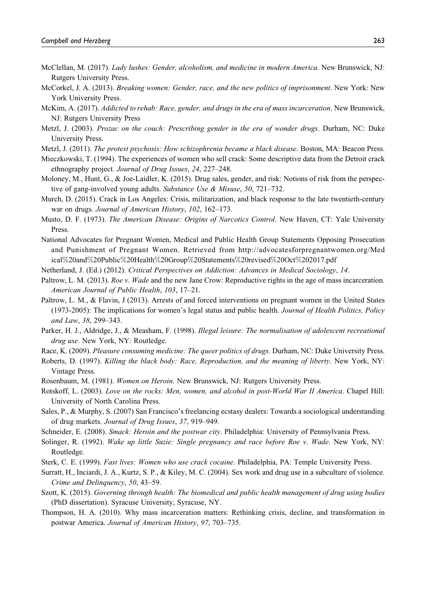- McClellan, M. (2017). *Lady lushes: Gender, alcoholism, and medicine in modern America*. New Brunswick, NJ: Rutgers University Press.
- McCorkel, J. A. (2013). *Breaking women: Gender, race, and the new politics of imprisonment*. New York: New York University Press.
- McKim, A. (2017). *Addicted to rehab: Race, gender, and drugs in the era of mass incarceration*. New Brunswick, NJ: Rutgers University Press
- Metzl, J. (2003). *Prozac on the couch: Prescribing gender in the era of wonder drugs*. Durham, NC: Duke University Press.
- Metzl, J. (2011). *The protest psychosis: How schizophrenia became a black disease*. Boston, MA: Beacon Press.
- Mieczkowski, T. (1994). The experiences of women who sell crack: Some descriptive data from the Detroit crack ethnography project. *Journal of Drug Issues*, *24*, 227–248.
- Moloney, M., Hunt, G., & Joe-Laidler, K. (2015). Drug sales, gender, and risk: Notions of risk from the perspective of gang-involved young adults. *Substance Use & Misuse*, *50*, 721–732.
- Murch, D. (2015). Crack in Los Angeles: Crisis, militarization, and black response to the late twentieth-century war on drugs. *Journal of American History*, *102*, 162–173.
- Musto, D. F. (1973). *The American Disease: Origins of Narcotics Control*. New Haven, CT: Yale University Press.
- National Advocates for Pregnant Women, Medical and Public Health Group Statements Opposing Prosecution and Punishment of Pregnant Women. Retrieved from [http://advocatesforpregnantwomen.org/Med](http://advocatesforpregnantwomen.org/Medical%20and%20Public%20Health%20Group%20Statements%20revised%20Oct%202017.pdf) [ical](http://advocatesforpregnantwomen.org/Medical%20and%20Public%20Health%20Group%20Statements%20revised%20Oct%202017.pdf)%[20and](http://advocatesforpregnantwomen.org/Medical%20and%20Public%20Health%20Group%20Statements%20revised%20Oct%202017.pdf)%[20Public](http://advocatesforpregnantwomen.org/Medical%20and%20Public%20Health%20Group%20Statements%20revised%20Oct%202017.pdf)%[20Health](http://advocatesforpregnantwomen.org/Medical%20and%20Public%20Health%20Group%20Statements%20revised%20Oct%202017.pdf)%[20Group](http://advocatesforpregnantwomen.org/Medical%20and%20Public%20Health%20Group%20Statements%20revised%20Oct%202017.pdf)%[20Statements](http://advocatesforpregnantwomen.org/Medical%20and%20Public%20Health%20Group%20Statements%20revised%20Oct%202017.pdf)%[20revised](http://advocatesforpregnantwomen.org/Medical%20and%20Public%20Health%20Group%20Statements%20revised%20Oct%202017.pdf)%[20Oct](http://advocatesforpregnantwomen.org/Medical%20and%20Public%20Health%20Group%20Statements%20revised%20Oct%202017.pdf)%[202017.pdf](http://advocatesforpregnantwomen.org/Medical%20and%20Public%20Health%20Group%20Statements%20revised%20Oct%202017.pdf)
- Netherland, J. (Ed.) (2012). *Critical Perspectives on Addiction: Advances in Medical Sociology*, *14*.
- Paltrow, L. M. (2013). *Roe v. Wade* and the new Jane Crow: Reproductive rights in the age of mass incarceration. *American Journal of Public Health*, *103*, 17–21.
- Paltrow, L. M., & Flavin, J (2013). Arrests of and forced interventions on pregnant women in the United States (1973-2005): The implications for women's legal status and public health. *Journal of Health Politics, Policy and Law*, *38*, 299–343.
- Parker, H. J., Aldridge, J., & Measham, F. (1998). *Illegal leisure: The normalisation of adolescent recreational drug use*. New York, NY: Routledge.
- Race, K. (2009). *Pleasure consuming medicine: The queer politics of drugs*. Durham, NC: Duke University Press.
- Roberts, D. (1997). *Killing the black body: Race, Reproduction, and the meaning of liberty*. New York, NY: Vintage Press.
- Rosenbaum, M. (1981). *Women on Heroin*. New Brunswick, NJ: Rutgers University Press.
- Rotskoff, L. (2003). *Love on the rocks: Men, women, and alcohol in post-World War II America*. Chapel Hill: University of North Carolina Press.
- Sales, P., & Murphy, S. (2007) San Francisco's freelancing ecstasy dealers: Towards a sociological understanding of drug markets. *Journal of Drug Issues*, *37*, 919–949.
- Schneider, E. (2008). *Smack: Heroin and the postwar city*. Philadelphia: University of Pennsylvania Press.
- Solinger, R. (1992). *Wake up little Suzie: Single pregnancy and race before Roe v. Wade*. New York, NY: Routledge.
- Sterk, C. E. (1999). *Fast lives: Women who use crack cocaine*. Philadelphia, PA: Temple University Press.
- Surratt, H., Inciardi, J. A., Kurtz, S. P., & Kiley, M. C. (2004). Sex work and drug use in a subculture of violence. *Crime and Delinquency*, *50*, 43–59.
- Szott, K. (2015). *Governing through health: The biomedical and public health management of drug using bodies* (PhD dissertation). Syracuse University, Syracuse, NY.
- Thompson, H. A. (2010). Why mass incarceration matters: Rethinking crisis, decline, and transformation in postwar America. *Journal of American History*, *97*, 703–735.